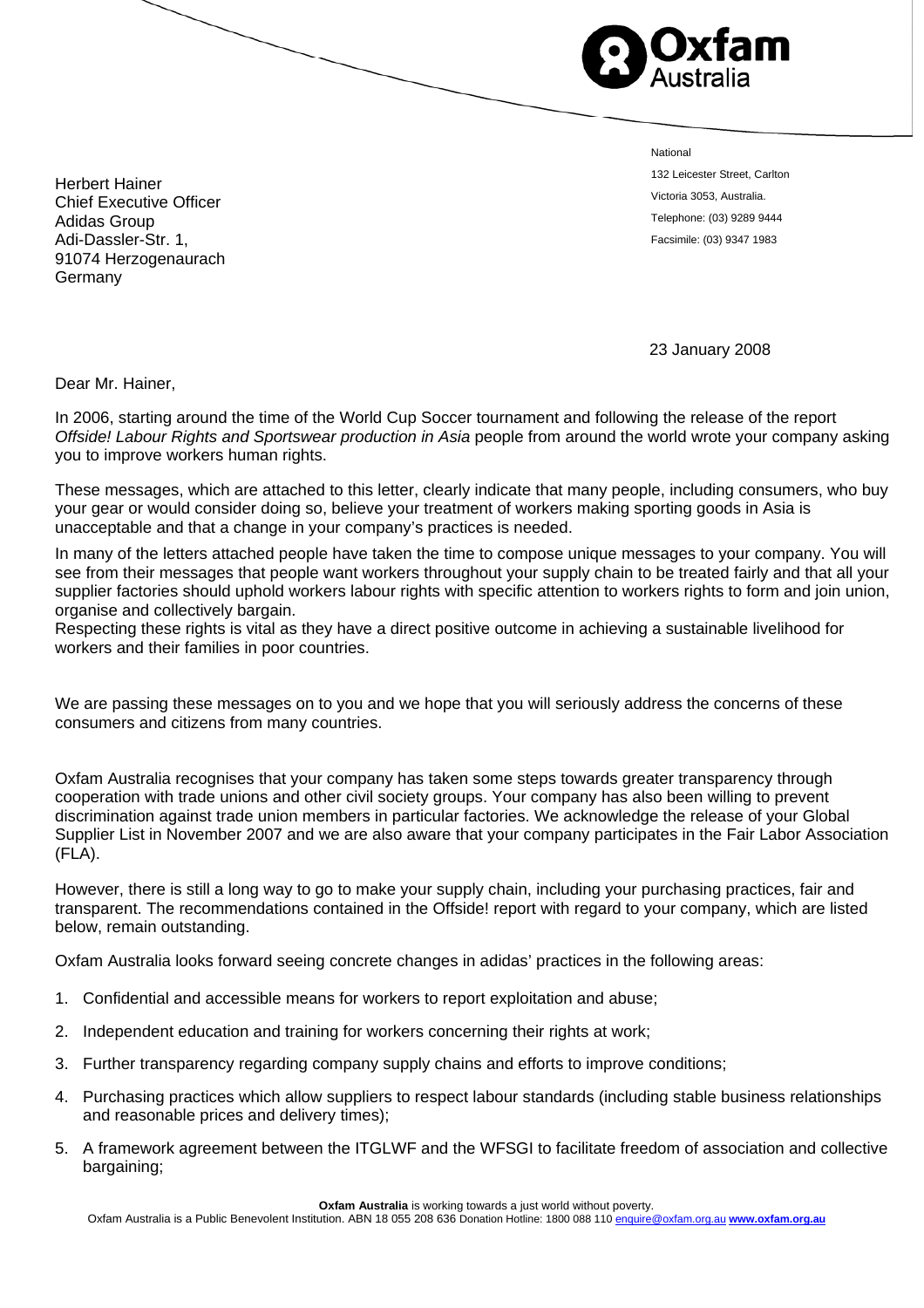

National

132 Leicester Street, Carlton Victoria 3053, Australia. Telephone: (03) 9289 9444 Facsimile: (03) 9347 1983

Herbert Hainer Chief Executive Officer Adidas Group Adi-Dassler-Str. 1, 91074 Herzogenaurach Germany

23 January 2008

Dear Mr. Hainer,

In 2006, starting around the time of the World Cup Soccer tournament and following the release of the report *Offside! Labour Rights and Sportswear production in Asia* people from around the world wrote your company asking you to improve workers human rights.

These messages, which are attached to this letter, clearly indicate that many people, including consumers, who buy your gear or would consider doing so, believe your treatment of workers making sporting goods in Asia is unacceptable and that a change in your company's practices is needed.

In many of the letters attached people have taken the time to compose unique messages to your company. You will see from their messages that people want workers throughout your supply chain to be treated fairly and that all your supplier factories should uphold workers labour rights with specific attention to workers rights to form and join union, organise and collectively bargain.

Respecting these rights is vital as they have a direct positive outcome in achieving a sustainable livelihood for workers and their families in poor countries.

We are passing these messages on to you and we hope that you will seriously address the concerns of these consumers and citizens from many countries.

Oxfam Australia recognises that your company has taken some steps towards greater transparency through cooperation with trade unions and other civil society groups. Your company has also been willing to prevent discrimination against trade union members in particular factories. We acknowledge the release of your Global Supplier List in November 2007 and we are also aware that your company participates in the Fair Labor Association (FLA).

However, there is still a long way to go to make your supply chain, including your purchasing practices, fair and transparent. The recommendations contained in the Offside! report with regard to your company, which are listed below, remain outstanding.

Oxfam Australia looks forward seeing concrete changes in adidas' practices in the following areas:

- 1. Confidential and accessible means for workers to report exploitation and abuse;
- 2. Independent education and training for workers concerning their rights at work;
- 3. Further transparency regarding company supply chains and efforts to improve conditions;
- 4. Purchasing practices which allow suppliers to respect labour standards (including stable business relationships and reasonable prices and delivery times);
- 5. A framework agreement between the ITGLWF and the WFSGI to facilitate freedom of association and collective bargaining;

**Oxfam Australia** is working towards a just world without poverty.

Oxfam Australia is a Public Benevolent Institution. ABN 18 055 208 636 Donation Hotline: 1800 088 110 enquire@oxfam.org.au **www.oxfam.org.au**